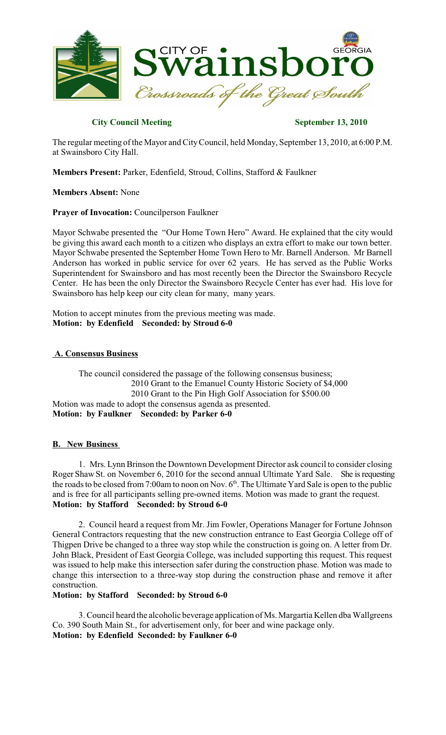

# **City Council Meeting September 13, 2010**

The regular meeting of the Mayor and CityCouncil, held Monday, September 13, 2010, at 6:00 P.M. at Swainsboro City Hall.

**Members Present:** Parker, Edenfield, Stroud, Collins, Stafford & Faulkner

**Members Absent:** None

**Prayer of Invocation:** Councilperson Faulkner

Mayor Schwabe presented the "Our Home Town Hero" Award. He explained that the city would be giving this award each month to a citizen who displays an extra effort to make our town better. Mayor Schwabe presented the September Home Town Hero to Mr. Barnell Anderson. Mr Barnell Anderson has worked in public service for over 62 years. He has served as the Public Works Superintendent for Swainsboro and has most recently been the Director the Swainsboro Recycle Center. He has been the only Director the Swainsboro Recycle Center has ever had. His love for Swainsboro has help keep our city clean for many, many years.

Motion to accept minutes from the previous meeting was made. **Motion: by Edenfield Seconded: by Stroud 6-0**

# **A. Consensus Business**

The council considered the passage of the following consensus business; 2010 Grant to the Emanuel County Historic Society of \$4,000 2010 Grant to the Pin High Golf Association for \$500.00 Motion was made to adopt the consensus agenda as presented. **Motion: by Faulkner Seconded: by Parker 6-0**

# **B. New Business**

1. Mrs. Lynn Brinson the Downtown Development Director ask council to consider closing Roger Shaw St. on November 6, 2010 for the second annual Ultimate Yard Sale. She is requesting the roads to be closed from 7:00am to noon on Nov.  $6<sup>th</sup>$ . The Ultimate Yard Sale is open to the public and is free for all participants selling pre-owned items. Motion was made to grant the request. **Motion: by Stafford Seconded: by Stroud 6-0**

2. Council heard a request from Mr. Jim Fowler, Operations Manager for Fortune Johnson General Contractors requesting that the new construction entrance to East Georgia College off of Thigpen Drive be changed to a three way stop while the construction is going on. A letter from Dr. John Black, President of East Georgia College, was included supporting this request. This request was issued to help make this intersection safer during the construction phase. Motion was made to change this intersection to a three-way stop during the construction phase and remove it after construction.

# **Motion: by Stafford Seconded: by Stroud 6-0**

3. Council heard the alcoholic beverage application of Ms. Margartia Kellen dba Wallgreens Co. 390 South Main St., for advertisement only, for beer and wine package only. **Motion: by Edenfield Seconded: by Faulkner 6-0**